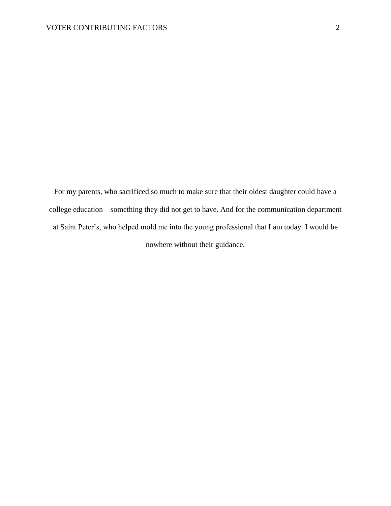For my parents, who sacrificed so much to make sure that their oldest daughter could have a college education – something they did not get to have. And for the communication department at Saint Peter's, who helped mold me into the young professional that I am today. I would be nowhere without their guidance.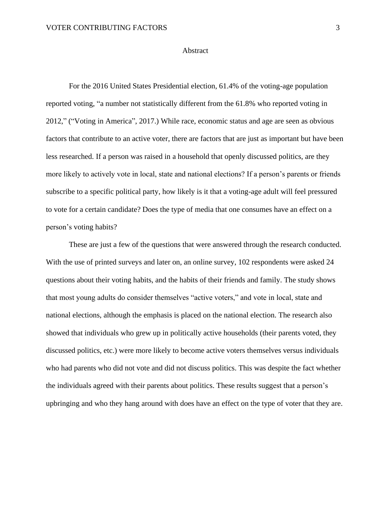#### Abstract

For the 2016 United States Presidential election, 61.4% of the voting-age population reported voting, "a number not statistically different from the 61.8% who reported voting in 2012," ("Voting in America", 2017.) While race, economic status and age are seen as obvious factors that contribute to an active voter, there are factors that are just as important but have been less researched. If a person was raised in a household that openly discussed politics, are they more likely to actively vote in local, state and national elections? If a person's parents or friends subscribe to a specific political party, how likely is it that a voting-age adult will feel pressured to vote for a certain candidate? Does the type of media that one consumes have an effect on a person's voting habits?

These are just a few of the questions that were answered through the research conducted. With the use of printed surveys and later on, an online survey, 102 respondents were asked 24 questions about their voting habits, and the habits of their friends and family. The study shows that most young adults do consider themselves "active voters," and vote in local, state and national elections, although the emphasis is placed on the national election. The research also showed that individuals who grew up in politically active households (their parents voted, they discussed politics, etc.) were more likely to become active voters themselves versus individuals who had parents who did not vote and did not discuss politics. This was despite the fact whether the individuals agreed with their parents about politics. These results suggest that a person's upbringing and who they hang around with does have an effect on the type of voter that they are.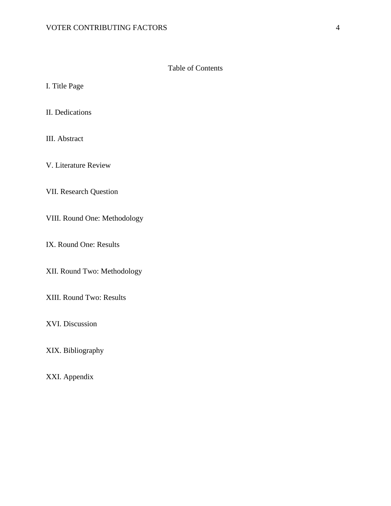# Table of Contents

I. Title Page

II. Dedications

III. Abstract

V. Literature Review

VII. Research Question

VIII. Round One: Methodology

IX. Round One: Results

XII. Round Two: Methodology

XIII. Round Two: Results

XVI. Discussion

XIX. Bibliography

XXI. Appendix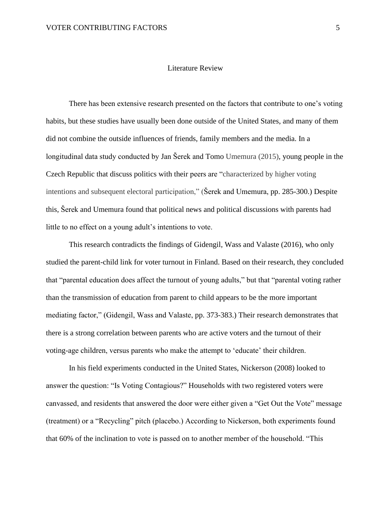## Literature Review

There has been extensive research presented on the factors that contribute to one's voting habits, but these studies have usually been done outside of the United States, and many of them did not combine the outside influences of friends, family members and the media. In a longitudinal data study conducted by Jan Šerek and Tomo Umemura (2015), young people in the Czech Republic that discuss politics with their peers are "characterized by higher voting intentions and subsequent electoral participation," (Šerek and Umemura, pp. 285-300.) Despite this, Šerek and Umemura found that political news and political discussions with parents had little to no effect on a young adult's intentions to vote.

This research contradicts the findings of Gidengil, Wass and Valaste (2016), who only studied the parent-child link for voter turnout in Finland. Based on their research, they concluded that "parental education does affect the turnout of young adults," but that "parental voting rather than the transmission of education from parent to child appears to be the more important mediating factor," (Gidengil, Wass and Valaste, pp. 373-383.) Their research demonstrates that there is a strong correlation between parents who are active voters and the turnout of their voting-age children, versus parents who make the attempt to 'educate' their children.

In his field experiments conducted in the United States, Nickerson (2008) looked to answer the question: "Is Voting Contagious?" Households with two registered voters were canvassed, and residents that answered the door were either given a "Get Out the Vote" message (treatment) or a "Recycling" pitch (placebo.) According to Nickerson, both experiments found that 60% of the inclination to vote is passed on to another member of the household. "This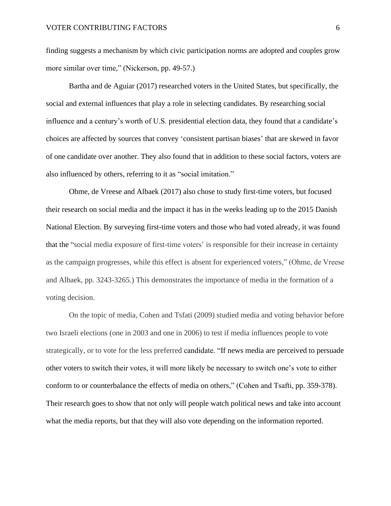finding suggests a mechanism by which civic participation norms are adopted and couples grow more similar over time," (Nickerson, pp. 49-57.)

Bartha and de Aguiar (2017) researched voters in the United States, but specifically, the social and external influences that play a role in selecting candidates. By researching social influence and a century's worth of U.S. presidential election data, they found that a candidate's choices are affected by sources that convey 'consistent partisan biases' that are skewed in favor of one candidate over another. They also found that in addition to these social factors, voters are also influenced by others, referring to it as "social imitation."

Ohme, de Vreese and Albaek (2017) also chose to study first-time voters, but focused their research on social media and the impact it has in the weeks leading up to the 2015 Danish National Election. By surveying first-time voters and those who had voted already, it was found that the "social media exposure of first-time voters' is responsible for their increase in certainty as the campaign progresses, while this effect is absent for experienced voters," (Ohme, de Vreese and Albaek, pp. 3243-3265.) This demonstrates the importance of media in the formation of a voting decision.

On the topic of media, Cohen and Tsfati (2009) studied media and voting behavior before two Israeli elections (one in 2003 and one in 2006) to test if media influences people to vote strategically, or to vote for the less preferred candidate. "If news media are perceived to persuade other voters to switch their votes, it will more likely be necessary to switch one's vote to either conform to or counterbalance the effects of media on others," (Cohen and Tsafti, pp. 359-378). Their research goes to show that not only will people watch political news and take into account what the media reports, but that they will also vote depending on the information reported.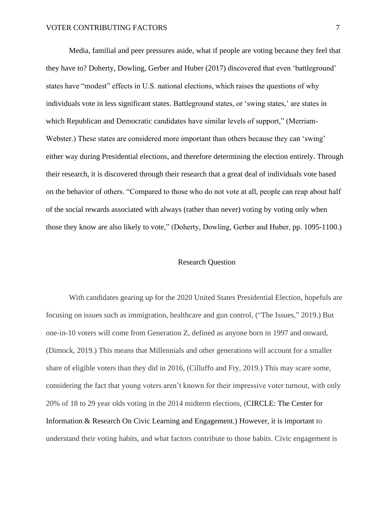Media, familial and peer pressures aside, what if people are voting because they feel that they have to? Doherty, Dowling, Gerber and Huber (2017) discovered that even 'battleground' states have "modest" effects in U.S. national elections, which raises the questions of why individuals vote in less significant states. Battleground states, or 'swing states,' are states in which Republican and Democratic candidates have similar levels of support," (Merriam-Webster.) These states are considered more important than others because they can 'swing' either way during Presidential elections, and therefore determining the election entirely. Through their research, it is discovered through their research that a great deal of individuals vote based on the behavior of others. "Compared to those who do not vote at all, people can reap about half of the social rewards associated with always (rather than never) voting by voting only when those they know are also likely to vote," (Doherty, Dowling, Gerber and Huber, pp. 1095-1100.)

#### Research Question

With candidates gearing up for the 2020 United States Presidential Election, hopefuls are focusing on issues such as immigration, healthcare and gun control, ("The Issues," 2019.) But one-in-10 voters will come from Generation Z, defined as anyone born in 1997 and onward, (Dimock, 2019.) This means that Millennials and other generations will account for a smaller share of eligible voters than they did in 2016, (Cilluffo and Fry, 2019.) This may scare some, considering the fact that young voters aren't known for their impressive voter turnout, with only 20% of 18 to 29 year olds voting in the 2014 midterm elections, (CIRCLE: The Center for Information & Research On Civic Learning and Engagement.) However, it is important to understand their voting habits, and what factors contribute to those habits. Civic engagement is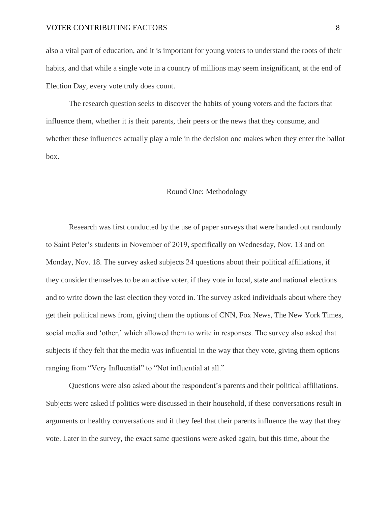also a vital part of education, and it is important for young voters to understand the roots of their habits, and that while a single vote in a country of millions may seem insignificant, at the end of Election Day, every vote truly does count.

The research question seeks to discover the habits of young voters and the factors that influence them, whether it is their parents, their peers or the news that they consume, and whether these influences actually play a role in the decision one makes when they enter the ballot box.

### Round One: Methodology

Research was first conducted by the use of paper surveys that were handed out randomly to Saint Peter's students in November of 2019, specifically on Wednesday, Nov. 13 and on Monday, Nov. 18. The survey asked subjects 24 questions about their political affiliations, if they consider themselves to be an active voter, if they vote in local, state and national elections and to write down the last election they voted in. The survey asked individuals about where they get their political news from, giving them the options of CNN, Fox News, The New York Times, social media and 'other,' which allowed them to write in responses. The survey also asked that subjects if they felt that the media was influential in the way that they vote, giving them options ranging from "Very Influential" to "Not influential at all."

Questions were also asked about the respondent's parents and their political affiliations. Subjects were asked if politics were discussed in their household, if these conversations result in arguments or healthy conversations and if they feel that their parents influence the way that they vote. Later in the survey, the exact same questions were asked again, but this time, about the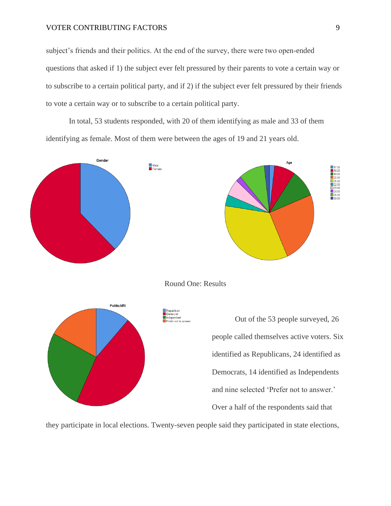subject's friends and their politics. At the end of the survey, there were two open-ended questions that asked if 1) the subject ever felt pressured by their parents to vote a certain way or to subscribe to a certain political party, and if 2) if the subject ever felt pressured by their friends to vote a certain way or to subscribe to a certain political party.

In total, 53 students responded, with 20 of them identifying as male and 33 of them identifying as female. Most of them were between the ages of 19 and 21 years old.



Round One: Results



Out of the 53 people surveyed, 26 people called themselves active voters. Six identified as Republicans, 24 identified as Democrats, 14 identified as Independents and nine selected 'Prefer not to answer.' Over a half of the respondents said that

they participate in local elections. Twenty-seven people said they participated in state elections,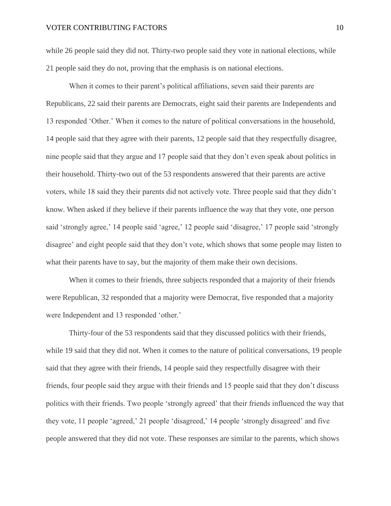while 26 people said they did not. Thirty-two people said they vote in national elections, while 21 people said they do not, proving that the emphasis is on national elections.

When it comes to their parent's political affiliations, seven said their parents are Republicans, 22 said their parents are Democrats, eight said their parents are Independents and 13 responded 'Other.' When it comes to the nature of political conversations in the household, 14 people said that they agree with their parents, 12 people said that they respectfully disagree, nine people said that they argue and 17 people said that they don't even speak about politics in their household. Thirty-two out of the 53 respondents answered that their parents are active voters, while 18 said they their parents did not actively vote. Three people said that they didn't know. When asked if they believe if their parents influence the way that they vote, one person said 'strongly agree,' 14 people said 'agree,' 12 people said 'disagree,' 17 people said 'strongly disagree' and eight people said that they don't vote, which shows that some people may listen to what their parents have to say, but the majority of them make their own decisions.

When it comes to their friends, three subjects responded that a majority of their friends were Republican, 32 responded that a majority were Democrat, five responded that a majority were Independent and 13 responded 'other.'

Thirty-four of the 53 respondents said that they discussed politics with their friends, while 19 said that they did not. When it comes to the nature of political conversations, 19 people said that they agree with their friends, 14 people said they respectfully disagree with their friends, four people said they argue with their friends and 15 people said that they don't discuss politics with their friends. Two people 'strongly agreed' that their friends influenced the way that they vote, 11 people 'agreed,' 21 people 'disagreed,' 14 people 'strongly disagreed' and five people answered that they did not vote. These responses are similar to the parents, which shows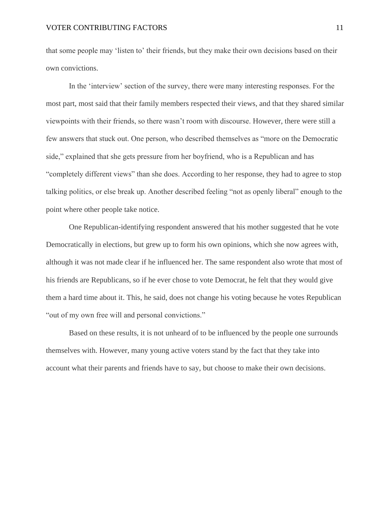that some people may 'listen to' their friends, but they make their own decisions based on their own convictions.

In the 'interview' section of the survey, there were many interesting responses. For the most part, most said that their family members respected their views, and that they shared similar viewpoints with their friends, so there wasn't room with discourse. However, there were still a few answers that stuck out. One person, who described themselves as "more on the Democratic side," explained that she gets pressure from her boyfriend, who is a Republican and has "completely different views" than she does. According to her response, they had to agree to stop talking politics, or else break up. Another described feeling "not as openly liberal" enough to the point where other people take notice.

One Republican-identifying respondent answered that his mother suggested that he vote Democratically in elections, but grew up to form his own opinions, which she now agrees with, although it was not made clear if he influenced her. The same respondent also wrote that most of his friends are Republicans, so if he ever chose to vote Democrat, he felt that they would give them a hard time about it. This, he said, does not change his voting because he votes Republican "out of my own free will and personal convictions."

Based on these results, it is not unheard of to be influenced by the people one surrounds themselves with. However, many young active voters stand by the fact that they take into account what their parents and friends have to say, but choose to make their own decisions.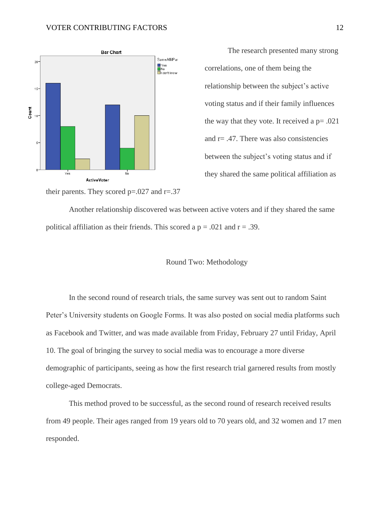

The research presented many strong correlations, one of them being the relationship between the subject's active voting status and if their family influences the way that they vote. It received a  $p = .021$ and  $r = .47$ . There was also consistencies between the subject's voting status and if they shared the same political affiliation as

their parents. They scored  $p=.027$  and  $r=.37$ 

Another relationship discovered was between active voters and if they shared the same political affiliation as their friends. This scored a  $p = .021$  and  $r = .39$ .

#### Round Two: Methodology

In the second round of research trials, the same survey was sent out to random Saint Peter's University students on Google Forms. It was also posted on social media platforms such as Facebook and Twitter, and was made available from Friday, February 27 until Friday, April 10. The goal of bringing the survey to social media was to encourage a more diverse demographic of participants, seeing as how the first research trial garnered results from mostly college-aged Democrats.

This method proved to be successful, as the second round of research received results from 49 people. Their ages ranged from 19 years old to 70 years old, and 32 women and 17 men responded.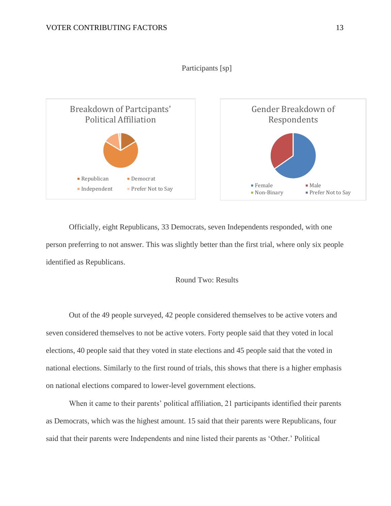



Officially, eight Republicans, 33 Democrats, seven Independents responded, with one person preferring to not answer. This was slightly better than the first trial, where only six people identified as Republicans.

# Round Two: Results

Out of the 49 people surveyed, 42 people considered themselves to be active voters and seven considered themselves to not be active voters. Forty people said that they voted in local elections, 40 people said that they voted in state elections and 45 people said that the voted in national elections. Similarly to the first round of trials, this shows that there is a higher emphasis on national elections compared to lower-level government elections.

When it came to their parents' political affiliation, 21 participants identified their parents as Democrats, which was the highest amount. 15 said that their parents were Republicans, four said that their parents were Independents and nine listed their parents as 'Other.' Political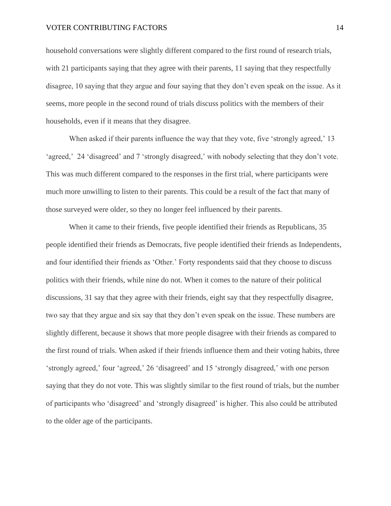household conversations were slightly different compared to the first round of research trials, with 21 participants saying that they agree with their parents, 11 saying that they respectfully disagree, 10 saying that they argue and four saying that they don't even speak on the issue. As it seems, more people in the second round of trials discuss politics with the members of their households, even if it means that they disagree.

When asked if their parents influence the way that they vote, five 'strongly agreed,' 13 'agreed,' 24 'disagreed' and 7 'strongly disagreed,' with nobody selecting that they don't vote. This was much different compared to the responses in the first trial, where participants were much more unwilling to listen to their parents. This could be a result of the fact that many of those surveyed were older, so they no longer feel influenced by their parents.

When it came to their friends, five people identified their friends as Republicans, 35 people identified their friends as Democrats, five people identified their friends as Independents, and four identified their friends as 'Other.' Forty respondents said that they choose to discuss politics with their friends, while nine do not. When it comes to the nature of their political discussions, 31 say that they agree with their friends, eight say that they respectfully disagree, two say that they argue and six say that they don't even speak on the issue. These numbers are slightly different, because it shows that more people disagree with their friends as compared to the first round of trials. When asked if their friends influence them and their voting habits, three 'strongly agreed,' four 'agreed,' 26 'disagreed' and 15 'strongly disagreed,' with one person saying that they do not vote. This was slightly similar to the first round of trials, but the number of participants who 'disagreed' and 'strongly disagreed' is higher. This also could be attributed to the older age of the participants.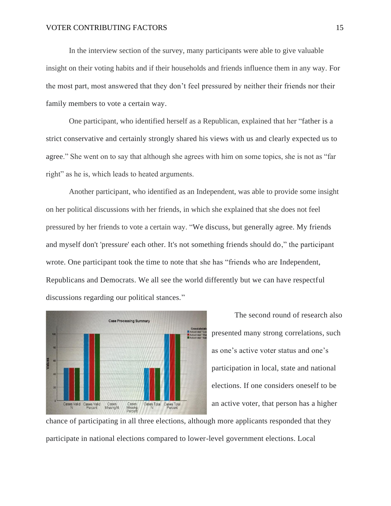In the interview section of the survey, many participants were able to give valuable insight on their voting habits and if their households and friends influence them in any way. For the most part, most answered that they don't feel pressured by neither their friends nor their family members to vote a certain way.

One participant, who identified herself as a Republican, explained that her "father is a strict conservative and certainly strongly shared his views with us and clearly expected us to agree." She went on to say that although she agrees with him on some topics, she is not as "far right" as he is, which leads to heated arguments.

Another participant, who identified as an Independent, was able to provide some insight on her political discussions with her friends, in which she explained that she does not feel pressured by her friends to vote a certain way. "We discuss, but generally agree. My friends and myself don't 'pressure' each other. It's not something friends should do," the participant wrote. One participant took the time to note that she has "friends who are Independent, Republicans and Democrats. We all see the world differently but we can have respectful discussions regarding our political stances."



The second round of research also presented many strong correlations, such as one's active voter status and one's participation in local, state and national elections. If one considers oneself to be an active voter, that person has a higher

chance of participating in all three elections, although more applicants responded that they participate in national elections compared to lower-level government elections. Local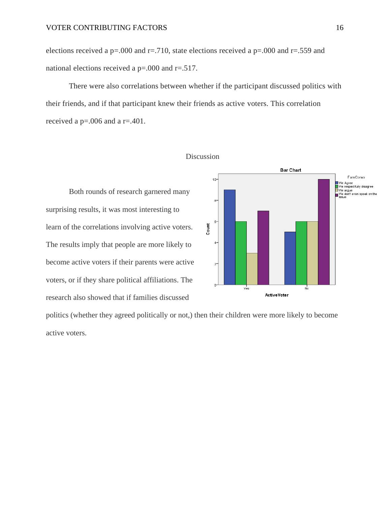elections received a p=.000 and r=.710, state elections received a p=.000 and r=.559 and national elections received a p=.000 and r=.517.

There were also correlations between whether if the participant discussed politics with their friends, and if that participant knew their friends as active voters. This correlation received a p=.006 and a r=.401.



#### Discussion

learn of the correlations involving active voters. The results imply that people are more likely to become active voters if their parents were active voters, or if they share political affiliations. The research also showed that if families discussed

politics (whether they agreed politically or not,) then their children were more likely to become active voters.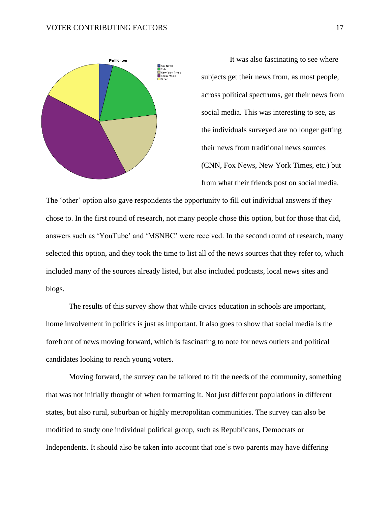

It was also fascinating to see where subjects get their news from, as most people, across political spectrums, get their news from social media. This was interesting to see, as the individuals surveyed are no longer getting their news from traditional news sources (CNN, Fox News, New York Times, etc.) but from what their friends post on social media.

The 'other' option also gave respondents the opportunity to fill out individual answers if they chose to. In the first round of research, not many people chose this option, but for those that did, answers such as 'YouTube' and 'MSNBC' were received. In the second round of research, many selected this option, and they took the time to list all of the news sources that they refer to, which included many of the sources already listed, but also included podcasts, local news sites and blogs.

The results of this survey show that while civics education in schools are important, home involvement in politics is just as important. It also goes to show that social media is the forefront of news moving forward, which is fascinating to note for news outlets and political candidates looking to reach young voters.

Moving forward, the survey can be tailored to fit the needs of the community, something that was not initially thought of when formatting it. Not just different populations in different states, but also rural, suburban or highly metropolitan communities. The survey can also be modified to study one individual political group, such as Republicans, Democrats or Independents. It should also be taken into account that one's two parents may have differing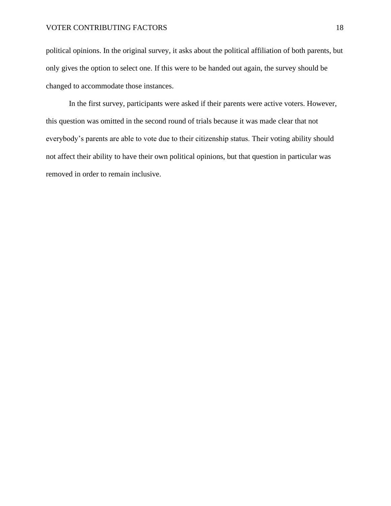political opinions. In the original survey, it asks about the political affiliation of both parents, but only gives the option to select one. If this were to be handed out again, the survey should be changed to accommodate those instances.

In the first survey, participants were asked if their parents were active voters. However, this question was omitted in the second round of trials because it was made clear that not everybody's parents are able to vote due to their citizenship status. Their voting ability should not affect their ability to have their own political opinions, but that question in particular was removed in order to remain inclusive.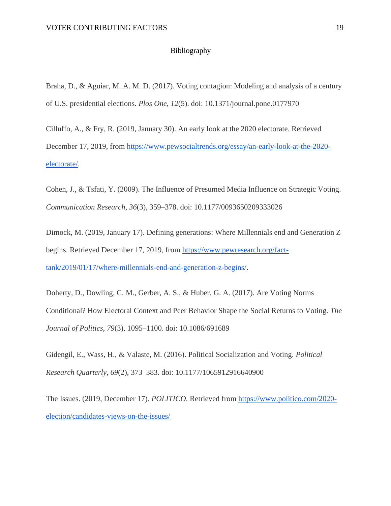## Bibliography

Braha, D., & Aguiar, M. A. M. D. (2017). Voting contagion: Modeling and analysis of a century of U.S. presidential elections. *Plos One*, *12*(5). doi: 10.1371/journal.pone.0177970

Cilluffo, A., & Fry, R. (2019, January 30). An early look at the 2020 electorate. Retrieved December 17, 2019, from [https://www.pewsocialtrends.org/essay/an-early-look-at-the-2020](https://www.pewsocialtrends.org/essay/an-early-look-at-the-2020-electorate/) [electorate/.](https://www.pewsocialtrends.org/essay/an-early-look-at-the-2020-electorate/)

Cohen, J., & Tsfati, Y. (2009). The Influence of Presumed Media Influence on Strategic Voting. *Communication Research*, *36*(3), 359–378. doi: 10.1177/0093650209333026

Dimock, M. (2019, January 17). Defining generations: Where Millennials end and Generation Z begins. Retrieved December 17, 2019, from [https://www.pewresearch.org/fact](https://www.pewresearch.org/fact-tank/2019/01/17/where-millennials-end-and-generation-z-begins/)[tank/2019/01/17/where-millennials-end-and-generation-z-begins/.](https://www.pewresearch.org/fact-tank/2019/01/17/where-millennials-end-and-generation-z-begins/)

Doherty, D., Dowling, C. M., Gerber, A. S., & Huber, G. A. (2017). Are Voting Norms Conditional? How Electoral Context and Peer Behavior Shape the Social Returns to Voting. *The Journal of Politics*, *79*(3), 1095–1100. doi: 10.1086/691689

Gidengil, E., Wass, H., & Valaste, M. (2016). Political Socialization and Voting. *Political Research Quarterly*, *69*(2), 373–383. doi: 10.1177/1065912916640900

The Issues. (2019, December 17). *POLITICO*. Retrieved from [https://www.politico.com/2020](https://www.politico.com/2020-election/candidates-views-on-the-issues/) [election/candidates-views-on-the-issues/](https://www.politico.com/2020-election/candidates-views-on-the-issues/)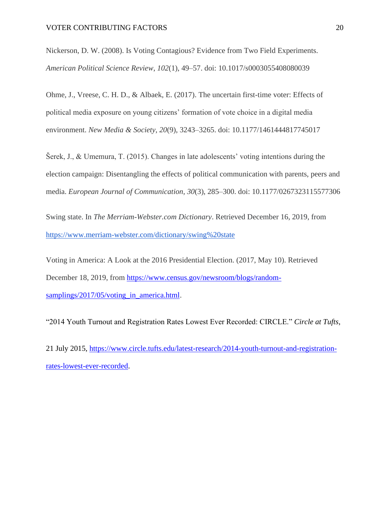Nickerson, D. W. (2008). Is Voting Contagious? Evidence from Two Field Experiments. *American Political Science Review*, *102*(1), 49–57. doi: 10.1017/s0003055408080039

Ohme, J., Vreese, C. H. D., & Albaek, E. (2017). The uncertain first-time voter: Effects of political media exposure on young citizens' formation of vote choice in a digital media environment. *New Media & Society*, *20*(9), 3243–3265. doi: 10.1177/1461444817745017

Šerek, J., & Umemura, T. (2015). Changes in late adolescents' voting intentions during the election campaign: Disentangling the effects of political communication with parents, peers and media. *European Journal of Communication*, *30*(3), 285–300. doi: 10.1177/0267323115577306

Swing state. In *The Merriam-Webster.com Dictionary*. Retrieved December 16, 2019, from <https://www.merriam-webster.com/dictionary/swing%20state>

Voting in America: A Look at the 2016 Presidential Election. (2017, May 10). Retrieved December 18, 2019, from [https://www.census.gov/newsroom/blogs/random](https://www.census.gov/newsroom/blogs/random-samplings/2017/05/voting_in_america.html)[samplings/2017/05/voting\\_in\\_america.html.](https://www.census.gov/newsroom/blogs/random-samplings/2017/05/voting_in_america.html)

"2014 Youth Turnout and Registration Rates Lowest Ever Recorded: CIRCLE." *Circle at Tufts*,

21 July 2015, [https://www.circle.tufts.edu/latest-research/2014-youth-turnout-and-registration](https://www.circle.tufts.edu/latest-research/2014-youth-turnout-and-registration-rates-lowest-ever-recorded)[rates-lowest-ever-recorded.](https://www.circle.tufts.edu/latest-research/2014-youth-turnout-and-registration-rates-lowest-ever-recorded)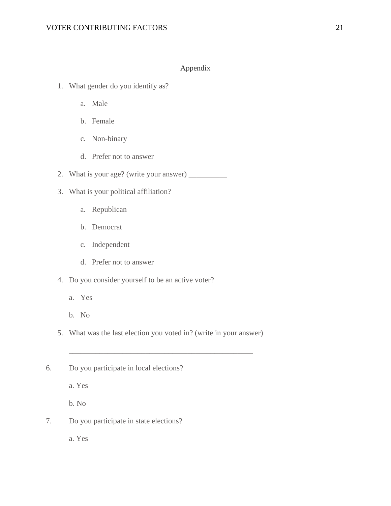# Appendix

- 1. What gender do you identify as?
	- a. Male
	- b. Female
	- c. Non-binary
	- d. Prefer not to answer
- 2. What is your age? (write your answer) \_\_\_\_\_\_\_\_\_\_
- 3. What is your political affiliation?
	- a. Republican
	- b. Democrat
	- c. Independent
	- d. Prefer not to answer
- 4. Do you consider yourself to be an active voter?
	- a. Yes
	- b. No
- 5. What was the last election you voted in? (write in your answer)

\_\_\_\_\_\_\_\_\_\_\_\_\_\_\_\_\_\_\_\_\_\_\_\_\_\_\_\_\_\_\_\_\_\_\_\_\_\_\_\_\_\_\_\_\_\_\_\_

6. Do you participate in local elections?

a. Yes

b. No

7. Do you participate in state elections?

a. Yes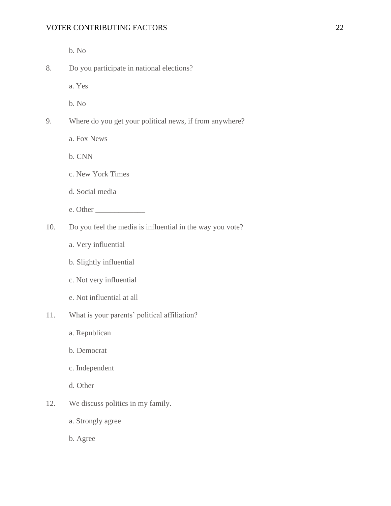b. No

8. Do you participate in national elections?

a. Yes

b. No

- 9. Where do you get your political news, if from anywhere?
	- a. Fox News

b. CNN

- c. New York Times
- d. Social media
- e. Other \_\_\_\_\_\_\_\_\_\_\_\_\_
- 10. Do you feel the media is influential in the way you vote?
	- a. Very influential
	- b. Slightly influential
	- c. Not very influential
	- e. Not influential at all
- 11. What is your parents' political affiliation?
	- a. Republican
	- b. Democrat
	- c. Independent
	- d. Other
- 12. We discuss politics in my family.
	- a. Strongly agree
	- b. Agree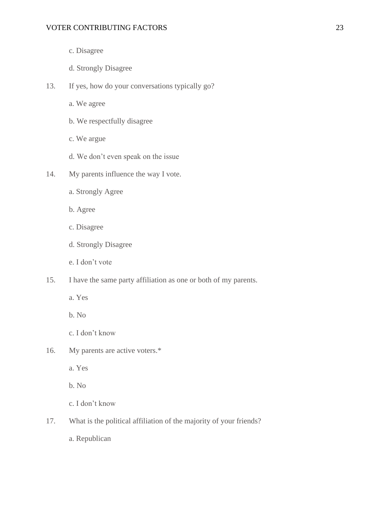- c. Disagree
- d. Strongly Disagree
- 13. If yes, how do your conversations typically go?
	- a. We agree
	- b. We respectfully disagree
	- c. We argue
	- d. We don't even speak on the issue
- 14. My parents influence the way I vote.
	- a. Strongly Agree
	- b. Agree
	- c. Disagree
	- d. Strongly Disagree
	- e. I don't vote
- 15. I have the same party affiliation as one or both of my parents.
	- a. Yes
	- b. No
	- c. I don't know
- 16. My parents are active voters.\*
	- a. Yes

b. No

c. I don't know

17. What is the political affiliation of the majority of your friends?

a. Republican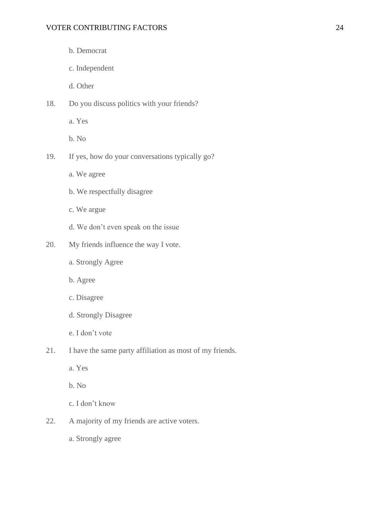- b. Democrat
- c. Independent

d. Other

- 18. Do you discuss politics with your friends?
	- a. Yes

b. No

- 19. If yes, how do your conversations typically go?
	- a. We agree
	- b. We respectfully disagree
	- c. We argue
	- d. We don't even speak on the issue
- 20. My friends influence the way I vote.
	- a. Strongly Agree
	- b. Agree
	- c. Disagree
	- d. Strongly Disagree
	- e. I don't vote
- 21. I have the same party affiliation as most of my friends.
	- a. Yes

b. No

c. I don't know

22. A majority of my friends are active voters.

a. Strongly agree